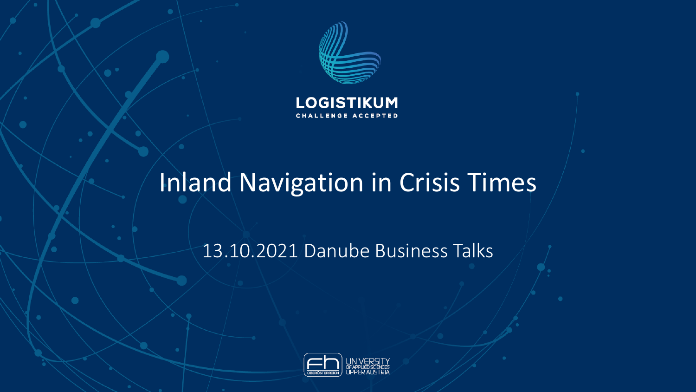

**LOGISTIKUM** CHALLENGE ACCEPTED

## Inland Navigation in Crisis Times

13.10.2021 Danube Business Talks

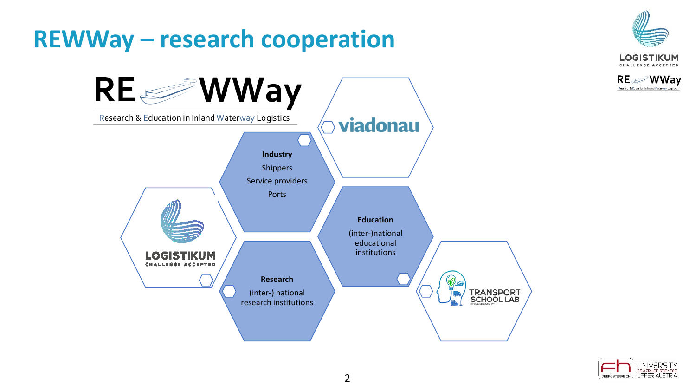## **REWWay – research cooperation**







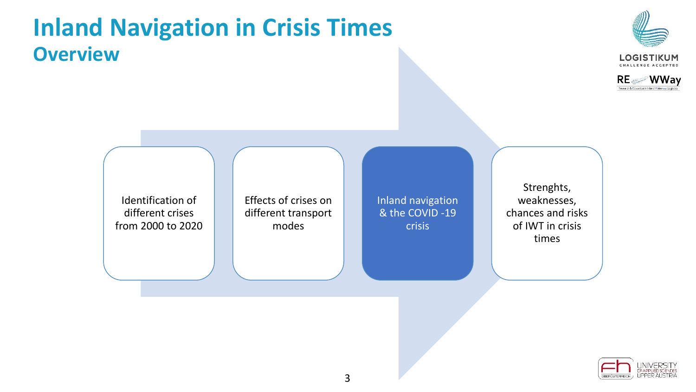## **Inland Navigation in Crisis Times Overview**





Identification of different crises from 2000 to 2020 Effects of crises on different transport modes

Inland navigation & the COVID -19 crisis

Strenghts, weaknesses, chances and risks of IWT in crisis times

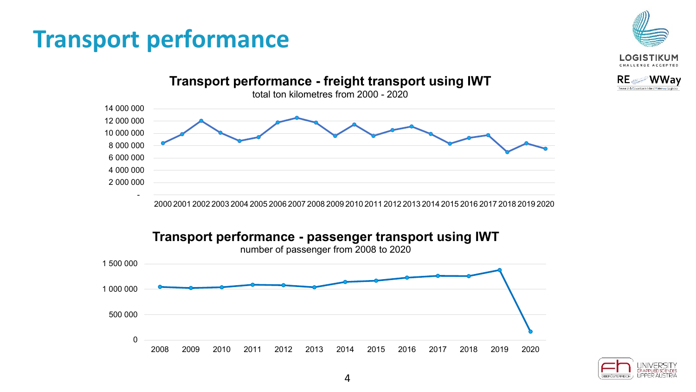## **Transport performance**



2000 2001 2002 2003 2004 2005 2006 2007 2008 2009 2010 2011 2012 2013 2014 2015 2016 2017 2018 2019 2020







'WWav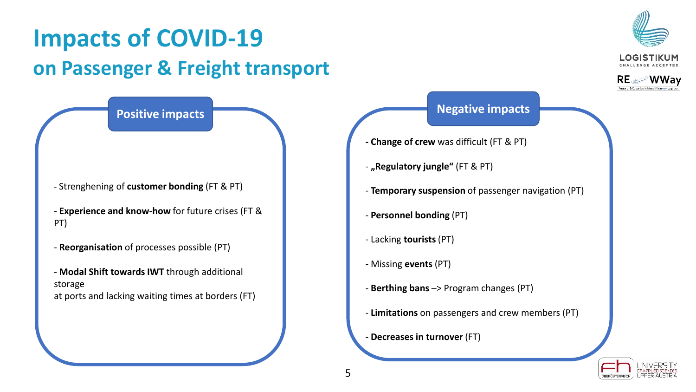## **Impacts of COVID-19 on Passenger & Freight transport**

- Strenghening of **customer bonding** (FT & PT)
- **Experience and know-how** for future crises (FT & PT)
- **Reorganisation** of processes possible (PT)
- **Modal Shift towards IWT** through additional storage at ports and lacking waiting times at borders (FT)

# OGIS



### **Positive impacts**

- **- Change of crew** was difficult (FT & PT)
- **"Regulatory jungle"** (FT & PT)
- **Temporary suspension** of passenger navigation (PT)
- **Personnel bonding** (PT)
- Lacking **tourists** (PT)
- Missing **events** (PT)
- **Berthing bans** –> Program changes (PT)
- **Limitations** on passengers and crew members (PT)
- **Decreases in turnover** (FT)

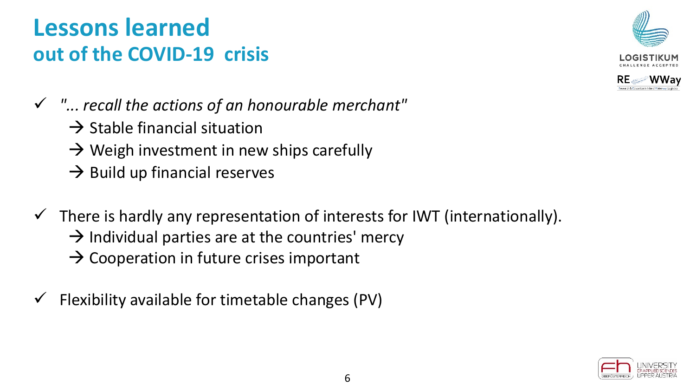## **Lessons learned out of the COVID-19 crisis**





- ✓ *"... recall the actions of an honourable merchant"*
	- $\rightarrow$  Stable financial situation
	- $\rightarrow$  Weigh investment in new ships carefully
	- $\rightarrow$  Build up financial reserves
- $\checkmark$  There is hardly any representation of interests for IWT (internationally).  $\rightarrow$  Individual parties are at the countries' mercy
	- $\rightarrow$  Cooperation in future crises important
- $\checkmark$  Flexibility available for timetable changes (PV)

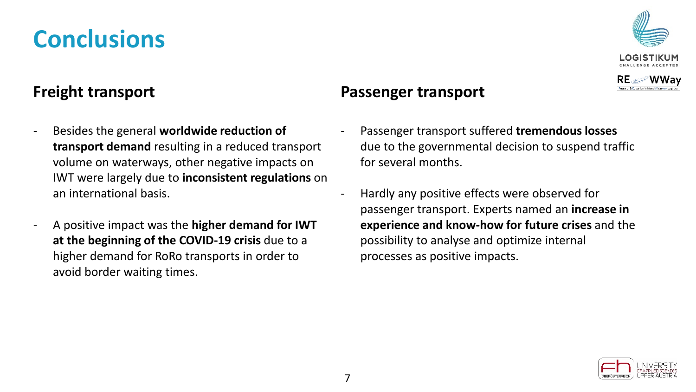## **Conclusions**

#### **Freight transport**

- Besides the general **worldwide reduction of transport demand** resulting in a reduced transport volume on waterways, other negative impacts on IWT were largely due to **inconsistent regulations** on an international basis.
- A positive impact was the **higher demand for IWT at the beginning of the COVID-19 crisis** due to a higher demand for RoRo transports in order to avoid border waiting times.

#### **Passenger transport**

- Passenger transport suffered **tremendous losses** due to the governmental decision to suspend traffic for several months.
- Hardly any positive effects were observed for passenger transport. Experts named an **increase in experience and know-how for future crises** and the possibility to analyse and optimize internal processes as positive impacts.